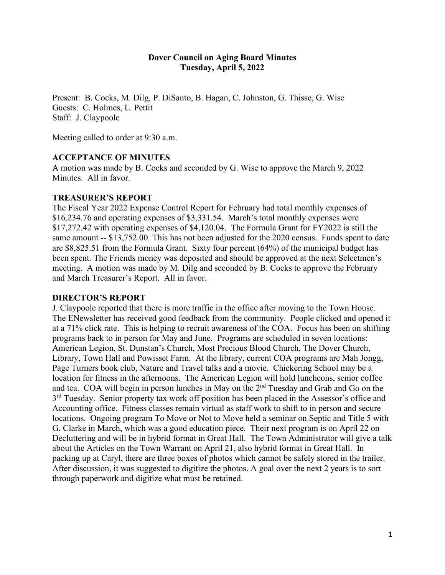## **Dover Council on Aging Board Minutes Tuesday, April 5, 2022**

Present: B. Cocks, M. Dilg, P. DiSanto, B. Hagan, C. Johnston, G. Thisse, G. Wise Guests: C. Holmes, L. Pettit Staff: J. Claypoole

Meeting called to order at 9:30 a.m.

#### **ACCEPTANCE OF MINUTES**

A motion was made by B. Cocks and seconded by G. Wise to approve the March 9, 2022 Minutes. All in favor.

#### **TREASURER'S REPORT**

The Fiscal Year 2022 Expense Control Report for February had total monthly expenses of \$16,234.76 and operating expenses of \$3,331.54. March's total monthly expenses were \$17,272.42 with operating expenses of \$4,120.04. The Formula Grant for FY2022 is still the same amount -- \$13,752.00. This has not been adjusted for the 2020 census. Funds spent to date are \$8,825.51 from the Formula Grant. Sixty four percent (64%) of the municipal budget has been spent. The Friends money was deposited and should be approved at the next Selectmen's meeting. A motion was made by M. Dilg and seconded by B. Cocks to approve the February and March Treasurer's Report. All in favor.

#### **DIRECTOR'S REPORT**

J. Claypoole reported that there is more traffic in the office after moving to the Town House. The ENewsletter has received good feedback from the community. People clicked and opened it at a 71% click rate. This is helping to recruit awareness of the COA. Focus has been on shifting programs back to in person for May and June. Programs are scheduled in seven locations: American Legion, St. Dunstan's Church, Most Precious Blood Church, The Dover Church, Library, Town Hall and Powisset Farm. At the library, current COA programs are Mah Jongg, Page Turners book club, Nature and Travel talks and a movie. Chickering School may be a location for fitness in the afternoons. The American Legion will hold luncheons, senior coffee and tea. COA will begin in person lunches in May on the 2nd Tuesday and Grab and Go on the 3<sup>rd</sup> Tuesday. Senior property tax work off position has been placed in the Assessor's office and Accounting office. Fitness classes remain virtual as staff work to shift to in person and secure locations. Ongoing program To Move or Not to Move held a seminar on Septic and Title 5 with G. Clarke in March, which was a good education piece. Their next program is on April 22 on Decluttering and will be in hybrid format in Great Hall. The Town Administrator will give a talk about the Articles on the Town Warrant on April 21, also hybrid format in Great Hall. In packing up at Caryl, there are three boxes of photos which cannot be safely stored in the trailer. After discussion, it was suggested to digitize the photos. A goal over the next 2 years is to sort through paperwork and digitize what must be retained.